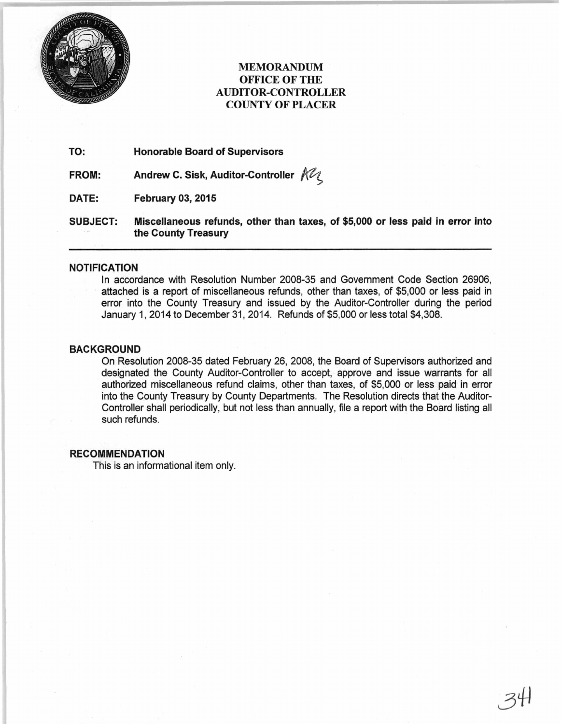

# MEMORANDUM OFFICE OF THE AUDITOR-CONTROLLER COUNTY OF PLACER

TO: Honorable Board of Supervisors

FROM: Andrew C. Sisk, Auditor-Controller  $m$ 

DATE: February 03, 2015

SUBJECT: Miscellaneous refunds, other than taxes, of \$5,000 or less paid in error into the County Treasury

### NOTIFICATION

In accordance with Resolution Number 2008-35 and Government Code Section 26906, attached is a report of miscellaneous refunds, other than taxes, of \$5,000 or less paid in error into the County Treasury and issued by the Auditor-Controller during the period January 1, 2014 to December 31, 2014. Refunds of \$5,000 or less total \$4,308.

## BACKGROUND

On Resolution 2008-35 dated February 26, 2008, the Board of Supervisors authorized and designated the County Auditor-Controller to accept, approve and issue warrants for all authorized miscellaneous refund claims, other than taxes, of \$5,000 or less paid in error into the County Treasury by County Departments. The Resolution directs that the Auditor-Controller shall periodically, but not less than annually, file a report with the Board listing all such refunds.

### RECOMMENDATION

This is an informational item only.